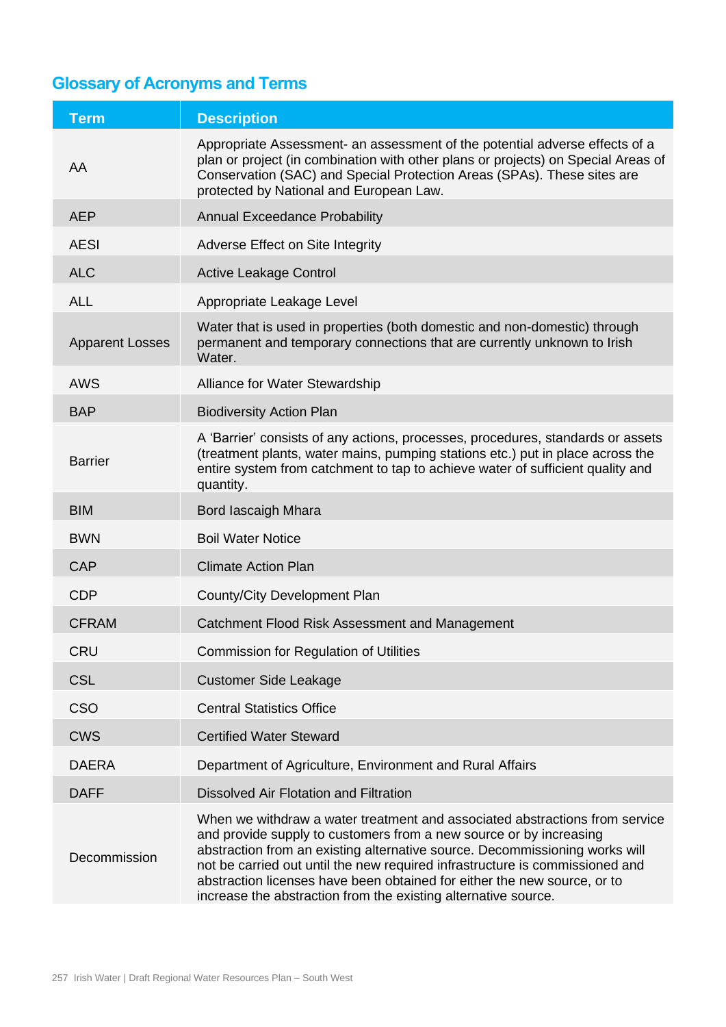## **Glossary of Acronyms and Terms**

| <b>Term</b>            | <b>Description</b>                                                                                                                                                                                                                                                                                                                                                                                                                                             |
|------------------------|----------------------------------------------------------------------------------------------------------------------------------------------------------------------------------------------------------------------------------------------------------------------------------------------------------------------------------------------------------------------------------------------------------------------------------------------------------------|
| AA                     | Appropriate Assessment- an assessment of the potential adverse effects of a<br>plan or project (in combination with other plans or projects) on Special Areas of<br>Conservation (SAC) and Special Protection Areas (SPAs). These sites are<br>protected by National and European Law.                                                                                                                                                                         |
| <b>AEP</b>             | <b>Annual Exceedance Probability</b>                                                                                                                                                                                                                                                                                                                                                                                                                           |
| <b>AESI</b>            | Adverse Effect on Site Integrity                                                                                                                                                                                                                                                                                                                                                                                                                               |
| <b>ALC</b>             | <b>Active Leakage Control</b>                                                                                                                                                                                                                                                                                                                                                                                                                                  |
| <b>ALL</b>             | Appropriate Leakage Level                                                                                                                                                                                                                                                                                                                                                                                                                                      |
| <b>Apparent Losses</b> | Water that is used in properties (both domestic and non-domestic) through<br>permanent and temporary connections that are currently unknown to Irish<br>Water.                                                                                                                                                                                                                                                                                                 |
| <b>AWS</b>             | Alliance for Water Stewardship                                                                                                                                                                                                                                                                                                                                                                                                                                 |
| <b>BAP</b>             | <b>Biodiversity Action Plan</b>                                                                                                                                                                                                                                                                                                                                                                                                                                |
| <b>Barrier</b>         | A 'Barrier' consists of any actions, processes, procedures, standards or assets<br>(treatment plants, water mains, pumping stations etc.) put in place across the<br>entire system from catchment to tap to achieve water of sufficient quality and<br>quantity.                                                                                                                                                                                               |
| <b>BIM</b>             | Bord lascaigh Mhara                                                                                                                                                                                                                                                                                                                                                                                                                                            |
| <b>BWN</b>             | <b>Boil Water Notice</b>                                                                                                                                                                                                                                                                                                                                                                                                                                       |
| <b>CAP</b>             | <b>Climate Action Plan</b>                                                                                                                                                                                                                                                                                                                                                                                                                                     |
| <b>CDP</b>             | County/City Development Plan                                                                                                                                                                                                                                                                                                                                                                                                                                   |
| <b>CFRAM</b>           | Catchment Flood Risk Assessment and Management                                                                                                                                                                                                                                                                                                                                                                                                                 |
| CRU                    | <b>Commission for Regulation of Utilities</b>                                                                                                                                                                                                                                                                                                                                                                                                                  |
| <b>CSL</b>             | <b>Customer Side Leakage</b>                                                                                                                                                                                                                                                                                                                                                                                                                                   |
| <b>CSO</b>             | <b>Central Statistics Office</b>                                                                                                                                                                                                                                                                                                                                                                                                                               |
| <b>CWS</b>             | <b>Certified Water Steward</b>                                                                                                                                                                                                                                                                                                                                                                                                                                 |
| <b>DAERA</b>           | Department of Agriculture, Environment and Rural Affairs                                                                                                                                                                                                                                                                                                                                                                                                       |
| <b>DAFF</b>            | Dissolved Air Flotation and Filtration                                                                                                                                                                                                                                                                                                                                                                                                                         |
| Decommission           | When we withdraw a water treatment and associated abstractions from service<br>and provide supply to customers from a new source or by increasing<br>abstraction from an existing alternative source. Decommissioning works will<br>not be carried out until the new required infrastructure is commissioned and<br>abstraction licenses have been obtained for either the new source, or to<br>increase the abstraction from the existing alternative source. |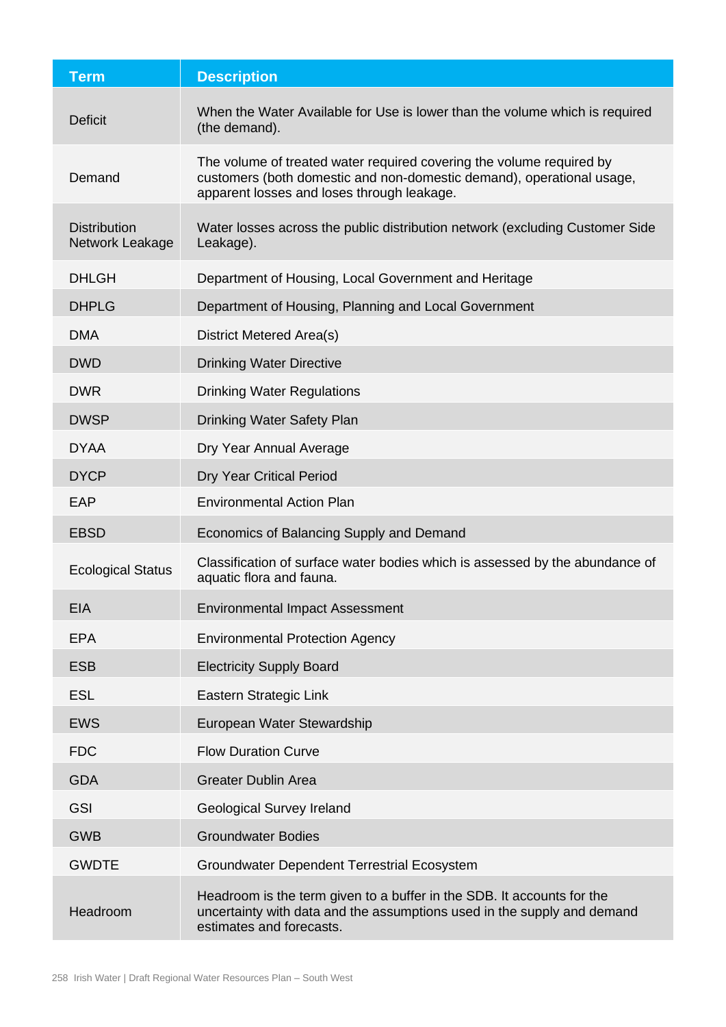| <b>Term</b>                            | <b>Description</b>                                                                                                                                                                          |
|----------------------------------------|---------------------------------------------------------------------------------------------------------------------------------------------------------------------------------------------|
| <b>Deficit</b>                         | When the Water Available for Use is lower than the volume which is required<br>(the demand).                                                                                                |
| Demand                                 | The volume of treated water required covering the volume required by<br>customers (both domestic and non-domestic demand), operational usage,<br>apparent losses and loses through leakage. |
| <b>Distribution</b><br>Network Leakage | Water losses across the public distribution network (excluding Customer Side<br>Leakage).                                                                                                   |
| <b>DHLGH</b>                           | Department of Housing, Local Government and Heritage                                                                                                                                        |
| <b>DHPLG</b>                           | Department of Housing, Planning and Local Government                                                                                                                                        |
| <b>DMA</b>                             | <b>District Metered Area(s)</b>                                                                                                                                                             |
| <b>DWD</b>                             | <b>Drinking Water Directive</b>                                                                                                                                                             |
| <b>DWR</b>                             | <b>Drinking Water Regulations</b>                                                                                                                                                           |
| <b>DWSP</b>                            | <b>Drinking Water Safety Plan</b>                                                                                                                                                           |
| <b>DYAA</b>                            | Dry Year Annual Average                                                                                                                                                                     |
| <b>DYCP</b>                            | <b>Dry Year Critical Period</b>                                                                                                                                                             |
| EAP                                    | <b>Environmental Action Plan</b>                                                                                                                                                            |
| <b>EBSD</b>                            | Economics of Balancing Supply and Demand                                                                                                                                                    |
| <b>Ecological Status</b>               | Classification of surface water bodies which is assessed by the abundance of<br>aquatic flora and fauna.                                                                                    |
| EIA                                    | <b>Environmental Impact Assessment</b>                                                                                                                                                      |
| <b>EPA</b>                             | <b>Environmental Protection Agency</b>                                                                                                                                                      |
| <b>ESB</b>                             | <b>Electricity Supply Board</b>                                                                                                                                                             |
| <b>ESL</b>                             | Eastern Strategic Link                                                                                                                                                                      |
| <b>EWS</b>                             | European Water Stewardship                                                                                                                                                                  |
| <b>FDC</b>                             | <b>Flow Duration Curve</b>                                                                                                                                                                  |
| <b>GDA</b>                             | <b>Greater Dublin Area</b>                                                                                                                                                                  |
| <b>GSI</b>                             | <b>Geological Survey Ireland</b>                                                                                                                                                            |
| <b>GWB</b>                             | <b>Groundwater Bodies</b>                                                                                                                                                                   |
| <b>GWDTE</b>                           | <b>Groundwater Dependent Terrestrial Ecosystem</b>                                                                                                                                          |
| Headroom                               | Headroom is the term given to a buffer in the SDB. It accounts for the<br>uncertainty with data and the assumptions used in the supply and demand<br>estimates and forecasts.               |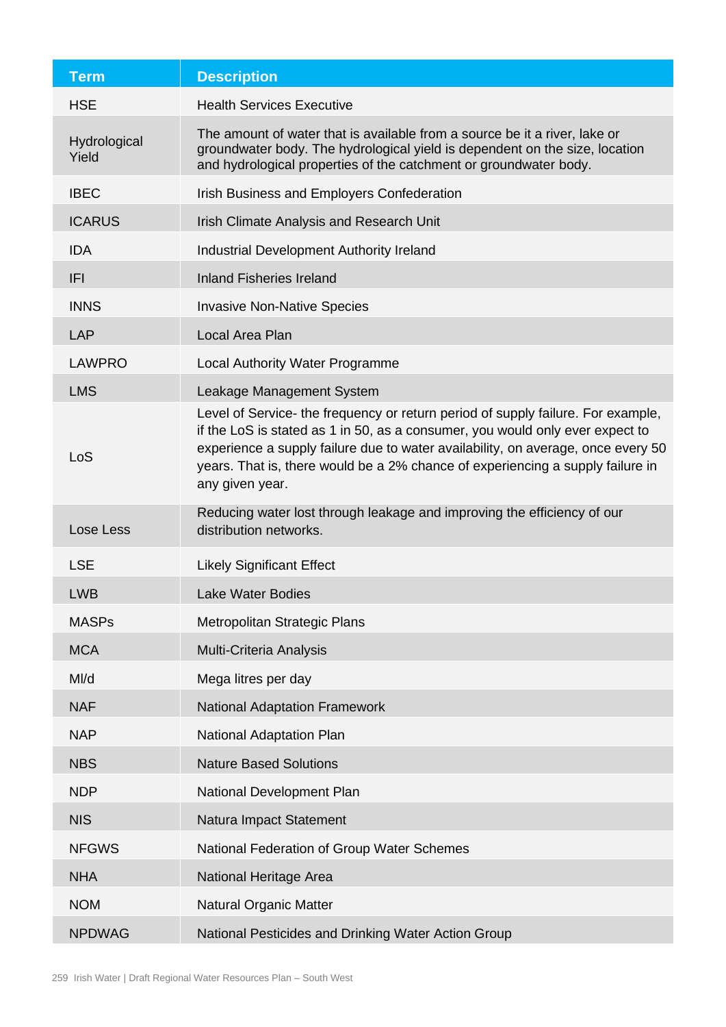| <b>Term</b>           | <b>Description</b>                                                                                                                                                                                                                                                                                                                                         |
|-----------------------|------------------------------------------------------------------------------------------------------------------------------------------------------------------------------------------------------------------------------------------------------------------------------------------------------------------------------------------------------------|
| <b>HSE</b>            | <b>Health Services Executive</b>                                                                                                                                                                                                                                                                                                                           |
| Hydrological<br>Yield | The amount of water that is available from a source be it a river, lake or<br>groundwater body. The hydrological yield is dependent on the size, location<br>and hydrological properties of the catchment or groundwater body.                                                                                                                             |
| <b>IBEC</b>           | Irish Business and Employers Confederation                                                                                                                                                                                                                                                                                                                 |
| <b>ICARUS</b>         | Irish Climate Analysis and Research Unit                                                                                                                                                                                                                                                                                                                   |
| <b>IDA</b>            | Industrial Development Authority Ireland                                                                                                                                                                                                                                                                                                                   |
| <b>IFI</b>            | <b>Inland Fisheries Ireland</b>                                                                                                                                                                                                                                                                                                                            |
| <b>INNS</b>           | <b>Invasive Non-Native Species</b>                                                                                                                                                                                                                                                                                                                         |
| <b>LAP</b>            | Local Area Plan                                                                                                                                                                                                                                                                                                                                            |
| <b>LAWPRO</b>         | <b>Local Authority Water Programme</b>                                                                                                                                                                                                                                                                                                                     |
| <b>LMS</b>            | Leakage Management System                                                                                                                                                                                                                                                                                                                                  |
| LoS                   | Level of Service- the frequency or return period of supply failure. For example,<br>if the LoS is stated as 1 in 50, as a consumer, you would only ever expect to<br>experience a supply failure due to water availability, on average, once every 50<br>years. That is, there would be a 2% chance of experiencing a supply failure in<br>any given year. |
| Lose Less             | Reducing water lost through leakage and improving the efficiency of our<br>distribution networks.                                                                                                                                                                                                                                                          |
| <b>LSE</b>            | <b>Likely Significant Effect</b>                                                                                                                                                                                                                                                                                                                           |
| <b>LWB</b>            | <b>Lake Water Bodies</b>                                                                                                                                                                                                                                                                                                                                   |
| <b>MASPs</b>          | Metropolitan Strategic Plans                                                                                                                                                                                                                                                                                                                               |
| <b>MCA</b>            | Multi-Criteria Analysis                                                                                                                                                                                                                                                                                                                                    |
| MI/d                  | Mega litres per day                                                                                                                                                                                                                                                                                                                                        |
| <b>NAF</b>            | <b>National Adaptation Framework</b>                                                                                                                                                                                                                                                                                                                       |
| <b>NAP</b>            | <b>National Adaptation Plan</b>                                                                                                                                                                                                                                                                                                                            |
| <b>NBS</b>            | <b>Nature Based Solutions</b>                                                                                                                                                                                                                                                                                                                              |
| <b>NDP</b>            | National Development Plan                                                                                                                                                                                                                                                                                                                                  |
| <b>NIS</b>            | Natura Impact Statement                                                                                                                                                                                                                                                                                                                                    |
| <b>NFGWS</b>          | National Federation of Group Water Schemes                                                                                                                                                                                                                                                                                                                 |
| <b>NHA</b>            | National Heritage Area                                                                                                                                                                                                                                                                                                                                     |
| <b>NOM</b>            | <b>Natural Organic Matter</b>                                                                                                                                                                                                                                                                                                                              |
| <b>NPDWAG</b>         | National Pesticides and Drinking Water Action Group                                                                                                                                                                                                                                                                                                        |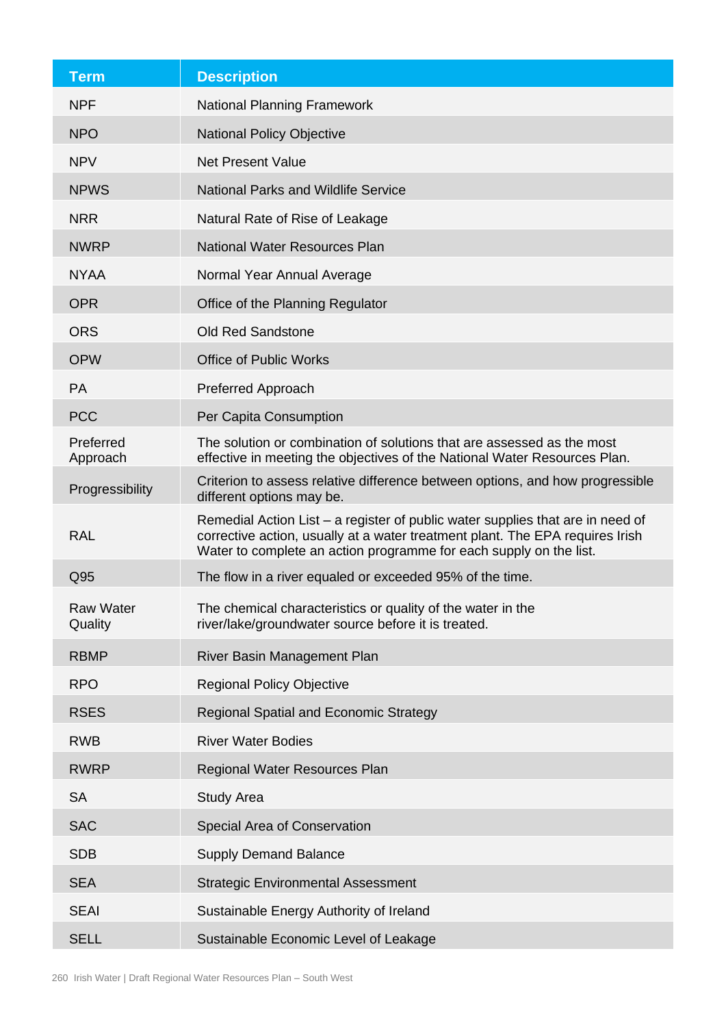| <b>Term</b>                 | <b>Description</b>                                                                                                                                                                                                                    |
|-----------------------------|---------------------------------------------------------------------------------------------------------------------------------------------------------------------------------------------------------------------------------------|
| <b>NPF</b>                  | <b>National Planning Framework</b>                                                                                                                                                                                                    |
| <b>NPO</b>                  | <b>National Policy Objective</b>                                                                                                                                                                                                      |
| <b>NPV</b>                  | <b>Net Present Value</b>                                                                                                                                                                                                              |
| <b>NPWS</b>                 | <b>National Parks and Wildlife Service</b>                                                                                                                                                                                            |
| <b>NRR</b>                  | Natural Rate of Rise of Leakage                                                                                                                                                                                                       |
| <b>NWRP</b>                 | <b>National Water Resources Plan</b>                                                                                                                                                                                                  |
| <b>NYAA</b>                 | Normal Year Annual Average                                                                                                                                                                                                            |
| <b>OPR</b>                  | Office of the Planning Regulator                                                                                                                                                                                                      |
| <b>ORS</b>                  | <b>Old Red Sandstone</b>                                                                                                                                                                                                              |
| <b>OPW</b>                  | <b>Office of Public Works</b>                                                                                                                                                                                                         |
| PA                          | Preferred Approach                                                                                                                                                                                                                    |
| <b>PCC</b>                  | Per Capita Consumption                                                                                                                                                                                                                |
| Preferred<br>Approach       | The solution or combination of solutions that are assessed as the most<br>effective in meeting the objectives of the National Water Resources Plan.                                                                                   |
| Progressibility             | Criterion to assess relative difference between options, and how progressible<br>different options may be.                                                                                                                            |
| <b>RAL</b>                  | Remedial Action List – a register of public water supplies that are in need of<br>corrective action, usually at a water treatment plant. The EPA requires Irish<br>Water to complete an action programme for each supply on the list. |
| Q95                         | The flow in a river equaled or exceeded 95% of the time.                                                                                                                                                                              |
| <b>Raw Water</b><br>Quality | The chemical characteristics or quality of the water in the<br>river/lake/groundwater source before it is treated.                                                                                                                    |
| <b>RBMP</b>                 | River Basin Management Plan                                                                                                                                                                                                           |
| <b>RPO</b>                  | <b>Regional Policy Objective</b>                                                                                                                                                                                                      |
| <b>RSES</b>                 | Regional Spatial and Economic Strategy                                                                                                                                                                                                |
| <b>RWB</b>                  | <b>River Water Bodies</b>                                                                                                                                                                                                             |
| <b>RWRP</b>                 | Regional Water Resources Plan                                                                                                                                                                                                         |
| <b>SA</b>                   | <b>Study Area</b>                                                                                                                                                                                                                     |
| <b>SAC</b>                  | Special Area of Conservation                                                                                                                                                                                                          |
| <b>SDB</b>                  | <b>Supply Demand Balance</b>                                                                                                                                                                                                          |
| <b>SEA</b>                  | <b>Strategic Environmental Assessment</b>                                                                                                                                                                                             |
| <b>SEAI</b>                 | Sustainable Energy Authority of Ireland                                                                                                                                                                                               |
| <b>SELL</b>                 | Sustainable Economic Level of Leakage                                                                                                                                                                                                 |